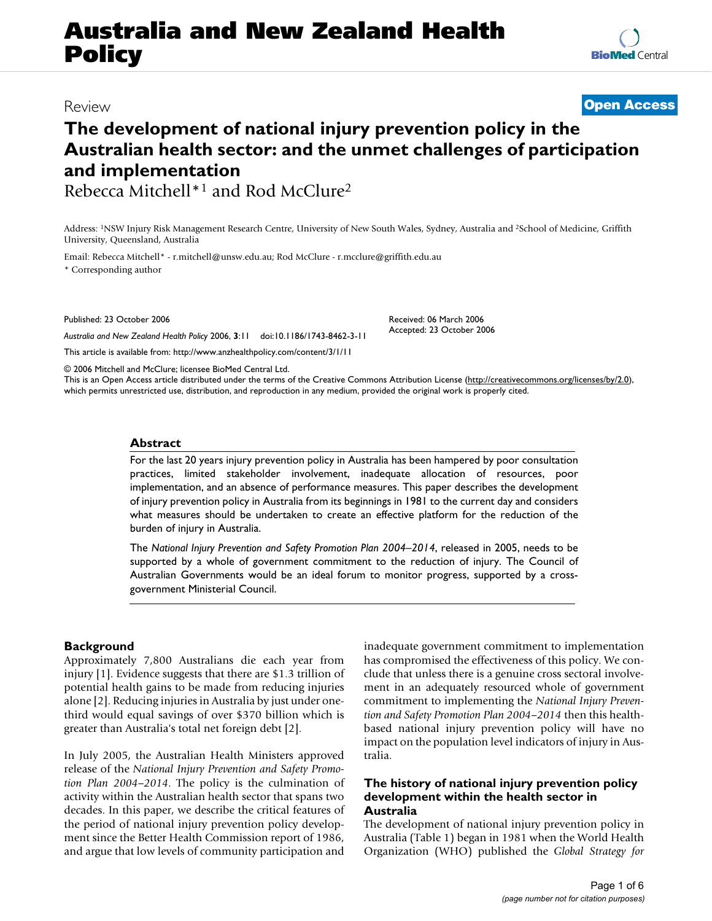# **Australia and New Zealand Health Policy**

## Review **[Open Access](http://www.biomedcentral.com/info/about/charter/)**

## **The development of national injury prevention policy in the Australian health sector: and the unmet challenges of participation and implementation**

Rebecca Mitchell\*1 and Rod McClure2

Address: 1NSW Injury Risk Management Research Centre, University of New South Wales, Sydney, Australia and 2School of Medicine, Griffith University, Queensland, Australia

Email: Rebecca Mitchell\* - r.mitchell@unsw.edu.au; Rod McClure - r.mcclure@griffith.edu.au

\* Corresponding author

Published: 23 October 2006

*Australia and New Zealand Health Policy* 2006, **3**:11 doi:10.1186/1743-8462-3-11

[This article is available from: http://www.anzhealthpolicy.com/content/3/1/11](http://www.anzhealthpolicy.com/content/3/1/11)

© 2006 Mitchell and McClure; licensee BioMed Central Ltd.

Received: 06 March 2006 Accepted: 23 October 2006

This is an Open Access article distributed under the terms of the Creative Commons Attribution License [\(http://creativecommons.org/licenses/by/2.0\)](http://creativecommons.org/licenses/by/2.0), which permits unrestricted use, distribution, and reproduction in any medium, provided the original work is properly cited.

## **Abstract**

For the last 20 years injury prevention policy in Australia has been hampered by poor consultation practices, limited stakeholder involvement, inadequate allocation of resources, poor implementation, and an absence of performance measures. This paper describes the development of injury prevention policy in Australia from its beginnings in 1981 to the current day and considers what measures should be undertaken to create an effective platform for the reduction of the burden of injury in Australia.

The *National Injury Prevention and Safety Promotion Plan 2004–2014*, released in 2005, needs to be supported by a whole of government commitment to the reduction of injury. The Council of Australian Governments would be an ideal forum to monitor progress, supported by a crossgovernment Ministerial Council.

## **Background**

Approximately 7,800 Australians die each year from injury [1]. Evidence suggests that there are \$1.3 trillion of potential health gains to be made from reducing injuries alone [2]. Reducing injuries in Australia by just under onethird would equal savings of over \$370 billion which is greater than Australia's total net foreign debt [2].

In July 2005, the Australian Health Ministers approved release of the *National Injury Prevention and Safety Promotion Plan 2004–2014*. The policy is the culmination of activity within the Australian health sector that spans two decades. In this paper, we describe the critical features of the period of national injury prevention policy development since the Better Health Commission report of 1986, and argue that low levels of community participation and inadequate government commitment to implementation has compromised the effectiveness of this policy. We conclude that unless there is a genuine cross sectoral involvement in an adequately resourced whole of government commitment to implementing the *National Injury Prevention and Safety Promotion Plan 2004–2014* then this healthbased national injury prevention policy will have no impact on the population level indicators of injury in Australia.

## **The history of national injury prevention policy development within the health sector in Australia**

The development of national injury prevention policy in Australia (Table 1) began in 1981 when the World Health Organization (WHO) published the *Global Strategy for*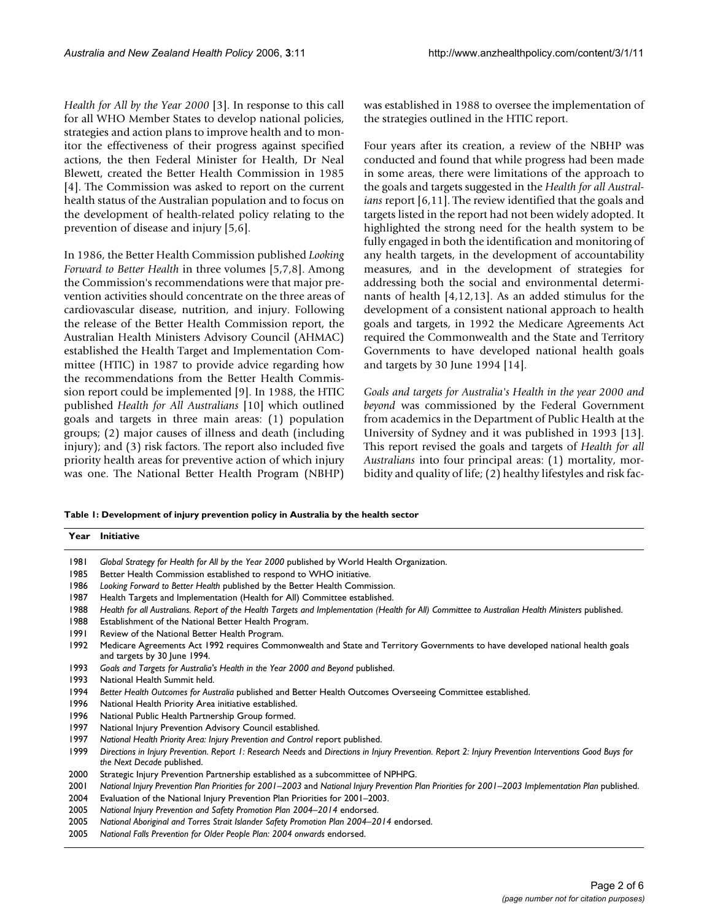*Health for All by the Year 2000* [3]. In response to this call for all WHO Member States to develop national policies, strategies and action plans to improve health and to monitor the effectiveness of their progress against specified actions, the then Federal Minister for Health, Dr Neal Blewett, created the Better Health Commission in 1985 [4]. The Commission was asked to report on the current health status of the Australian population and to focus on the development of health-related policy relating to the prevention of disease and injury [5,6].

In 1986, the Better Health Commission published *Looking Forward to Better Health* in three volumes [5,7,8]. Among the Commission's recommendations were that major prevention activities should concentrate on the three areas of cardiovascular disease, nutrition, and injury. Following the release of the Better Health Commission report, the Australian Health Ministers Advisory Council (AHMAC) established the Health Target and Implementation Committee (HTIC) in 1987 to provide advice regarding how the recommendations from the Better Health Commission report could be implemented [9]. In 1988, the HTIC published *Health for All Australians* [10] which outlined goals and targets in three main areas: (1) population groups; (2) major causes of illness and death (including injury); and (3) risk factors. The report also included five priority health areas for preventive action of which injury was one. The National Better Health Program (NBHP) was established in 1988 to oversee the implementation of the strategies outlined in the HTIC report.

Four years after its creation, a review of the NBHP was conducted and found that while progress had been made in some areas, there were limitations of the approach to the goals and targets suggested in the *Health for all Australians* report [6,11]. The review identified that the goals and targets listed in the report had not been widely adopted. It highlighted the strong need for the health system to be fully engaged in both the identification and monitoring of any health targets, in the development of accountability measures, and in the development of strategies for addressing both the social and environmental determinants of health [4,12,13]. As an added stimulus for the development of a consistent national approach to health goals and targets, in 1992 the Medicare Agreements Act required the Commonwealth and the State and Territory Governments to have developed national health goals and targets by 30 June 1994 [14].

*Goals and targets for Australia's Health in the year 2000 and beyond* was commissioned by the Federal Government from academics in the Department of Public Health at the University of Sydney and it was published in 1993 [13]. This report revised the goals and targets of *Health for all Australians* into four principal areas: (1) mortality, morbidity and quality of life; (2) healthy lifestyles and risk fac-

| Year | <b>Initiative</b>                                                                                                                                                                    |
|------|--------------------------------------------------------------------------------------------------------------------------------------------------------------------------------------|
| 1981 | Global Strategy for Health for All by the Year 2000 published by World Health Organization.                                                                                          |
| 1985 | Better Health Commission established to respond to WHO initiative.                                                                                                                   |
| 1986 | Looking Forward to Better Health published by the Better Health Commission.                                                                                                          |
| 1987 | Health Targets and Implementation (Health for All) Committee established.                                                                                                            |
| 1988 | Health for all Australians. Report of the Health Targets and Implementation (Health for All) Committee to Australian Health Ministers published.                                     |
| 1988 | Establishment of the National Better Health Program.                                                                                                                                 |
| 1991 | Review of the National Better Health Program.                                                                                                                                        |
| 1992 | Medicare Agreements Act 1992 requires Commonwealth and State and Territory Governments to have developed national health goals<br>and targets by 30 June 1994.                       |
| 1993 | Goals and Targets for Australia's Health in the Year 2000 and Beyond published.                                                                                                      |
| 1993 | National Health Summit held.                                                                                                                                                         |
| 1994 | Better Health Outcomes for Australia published and Better Health Outcomes Overseeing Committee established.                                                                          |
| 1996 | National Health Priority Area initiative established.                                                                                                                                |
| 1996 | National Public Health Partnership Group formed.                                                                                                                                     |
| 1997 | National Injury Prevention Advisory Council established.                                                                                                                             |
| 1997 | National Health Priority Area: Injury Prevention and Control report published.                                                                                                       |
| 1999 | Directions in Injury Prevention. Report 1: Research Needs and Directions in Injury Prevention. Report 2: Injury Prevention Interventions Good Buys for<br>the Next Decade published. |
| 2000 | Strategic Injury Prevention Partnership established as a subcommittee of NPHPG.                                                                                                      |
| 2001 | National Injury Prevention Plan Priorities for 2001–2003 and National Injury Prevention Plan Priorities for 2001–2003 Implementation Plan published.                                 |
| 2004 | Evaluation of the National Injury Prevention Plan Priorities for 2001-2003.                                                                                                          |
| 2005 | National Injury Prevention and Safety Promotion Plan 2004-2014 endorsed.                                                                                                             |
| 2005 | National Aboriginal and Torres Strait Islander Safety Promotion Plan 2004–2014 endorsed.                                                                                             |

#### **Table 1: Development of injury prevention policy in Australia by the health sector**

<sup>2005</sup> *National Falls Prevention for Older People Plan: 2004 onwards* endorsed.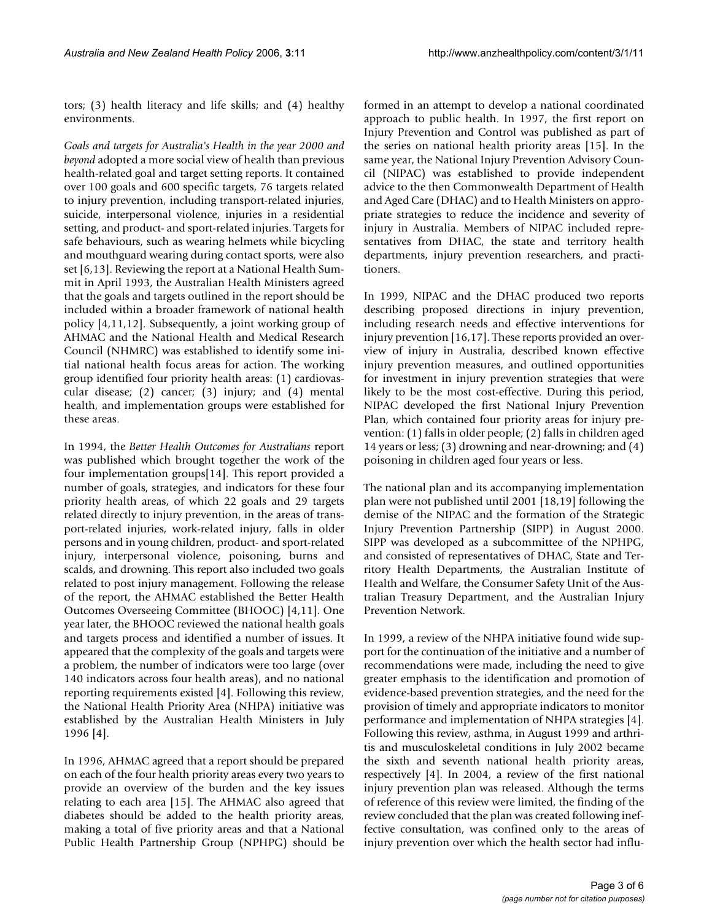tors; (3) health literacy and life skills; and (4) healthy environments.

*Goals and targets for Australia's Health in the year 2000 and beyond* adopted a more social view of health than previous health-related goal and target setting reports. It contained over 100 goals and 600 specific targets, 76 targets related to injury prevention, including transport-related injuries, suicide, interpersonal violence, injuries in a residential setting, and product- and sport-related injuries. Targets for safe behaviours, such as wearing helmets while bicycling and mouthguard wearing during contact sports, were also set [6,13]. Reviewing the report at a National Health Summit in April 1993, the Australian Health Ministers agreed that the goals and targets outlined in the report should be included within a broader framework of national health policy [4,11,12]. Subsequently, a joint working group of AHMAC and the National Health and Medical Research Council (NHMRC) was established to identify some initial national health focus areas for action. The working group identified four priority health areas: (1) cardiovascular disease; (2) cancer; (3) injury; and (4) mental health, and implementation groups were established for these areas.

In 1994, the *Better Health Outcomes for Australians* report was published which brought together the work of the four implementation groups[14]. This report provided a number of goals, strategies, and indicators for these four priority health areas, of which 22 goals and 29 targets related directly to injury prevention, in the areas of transport-related injuries, work-related injury, falls in older persons and in young children, product- and sport-related injury, interpersonal violence, poisoning, burns and scalds, and drowning. This report also included two goals related to post injury management. Following the release of the report, the AHMAC established the Better Health Outcomes Overseeing Committee (BHOOC) [4,11]. One year later, the BHOOC reviewed the national health goals and targets process and identified a number of issues. It appeared that the complexity of the goals and targets were a problem, the number of indicators were too large (over 140 indicators across four health areas), and no national reporting requirements existed [4]. Following this review, the National Health Priority Area (NHPA) initiative was established by the Australian Health Ministers in July 1996 [4].

In 1996, AHMAC agreed that a report should be prepared on each of the four health priority areas every two years to provide an overview of the burden and the key issues relating to each area [15]. The AHMAC also agreed that diabetes should be added to the health priority areas, making a total of five priority areas and that a National Public Health Partnership Group (NPHPG) should be formed in an attempt to develop a national coordinated approach to public health. In 1997, the first report on Injury Prevention and Control was published as part of the series on national health priority areas [15]. In the same year, the National Injury Prevention Advisory Council (NIPAC) was established to provide independent advice to the then Commonwealth Department of Health and Aged Care (DHAC) and to Health Ministers on appropriate strategies to reduce the incidence and severity of injury in Australia. Members of NIPAC included representatives from DHAC, the state and territory health departments, injury prevention researchers, and practitioners.

In 1999, NIPAC and the DHAC produced two reports describing proposed directions in injury prevention, including research needs and effective interventions for injury prevention [16,17]. These reports provided an overview of injury in Australia, described known effective injury prevention measures, and outlined opportunities for investment in injury prevention strategies that were likely to be the most cost-effective. During this period, NIPAC developed the first National Injury Prevention Plan, which contained four priority areas for injury prevention: (1) falls in older people; (2) falls in children aged 14 years or less; (3) drowning and near-drowning; and (4) poisoning in children aged four years or less.

The national plan and its accompanying implementation plan were not published until 2001 [18,19] following the demise of the NIPAC and the formation of the Strategic Injury Prevention Partnership (SIPP) in August 2000. SIPP was developed as a subcommittee of the NPHPG, and consisted of representatives of DHAC, State and Territory Health Departments, the Australian Institute of Health and Welfare, the Consumer Safety Unit of the Australian Treasury Department, and the Australian Injury Prevention Network.

In 1999, a review of the NHPA initiative found wide support for the continuation of the initiative and a number of recommendations were made, including the need to give greater emphasis to the identification and promotion of evidence-based prevention strategies, and the need for the provision of timely and appropriate indicators to monitor performance and implementation of NHPA strategies [4]. Following this review, asthma, in August 1999 and arthritis and musculoskeletal conditions in July 2002 became the sixth and seventh national health priority areas, respectively [4]. In 2004, a review of the first national injury prevention plan was released. Although the terms of reference of this review were limited, the finding of the review concluded that the plan was created following ineffective consultation, was confined only to the areas of injury prevention over which the health sector had influ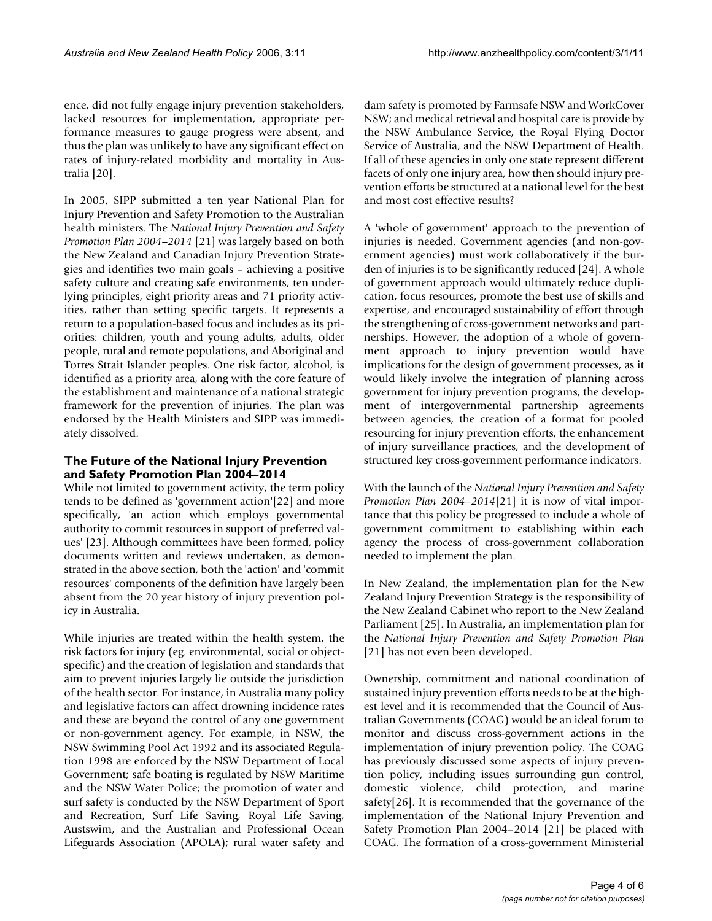ence, did not fully engage injury prevention stakeholders, lacked resources for implementation, appropriate performance measures to gauge progress were absent, and thus the plan was unlikely to have any significant effect on rates of injury-related morbidity and mortality in Australia [20].

In 2005, SIPP submitted a ten year National Plan for Injury Prevention and Safety Promotion to the Australian health ministers. The *National Injury Prevention and Safety Promotion Plan 2004–2014* [21] was largely based on both the New Zealand and Canadian Injury Prevention Strategies and identifies two main goals – achieving a positive safety culture and creating safe environments, ten underlying principles, eight priority areas and 71 priority activities, rather than setting specific targets. It represents a return to a population-based focus and includes as its priorities: children, youth and young adults, adults, older people, rural and remote populations, and Aboriginal and Torres Strait Islander peoples. One risk factor, alcohol, is identified as a priority area, along with the core feature of the establishment and maintenance of a national strategic framework for the prevention of injuries. The plan was endorsed by the Health Ministers and SIPP was immediately dissolved.

## **The Future of the National Injury Prevention and Safety Promotion Plan 2004–2014**

While not limited to government activity, the term policy tends to be defined as 'government action'[22] and more specifically, 'an action which employs governmental authority to commit resources in support of preferred values' [23]. Although committees have been formed, policy documents written and reviews undertaken, as demonstrated in the above section, both the 'action' and 'commit resources' components of the definition have largely been absent from the 20 year history of injury prevention policy in Australia.

While injuries are treated within the health system, the risk factors for injury (eg. environmental, social or objectspecific) and the creation of legislation and standards that aim to prevent injuries largely lie outside the jurisdiction of the health sector. For instance, in Australia many policy and legislative factors can affect drowning incidence rates and these are beyond the control of any one government or non-government agency. For example, in NSW, the NSW Swimming Pool Act 1992 and its associated Regulation 1998 are enforced by the NSW Department of Local Government; safe boating is regulated by NSW Maritime and the NSW Water Police; the promotion of water and surf safety is conducted by the NSW Department of Sport and Recreation, Surf Life Saving, Royal Life Saving, Austswim, and the Australian and Professional Ocean Lifeguards Association (APOLA); rural water safety and

dam safety is promoted by Farmsafe NSW and WorkCover NSW; and medical retrieval and hospital care is provide by the NSW Ambulance Service, the Royal Flying Doctor Service of Australia, and the NSW Department of Health. If all of these agencies in only one state represent different facets of only one injury area, how then should injury prevention efforts be structured at a national level for the best and most cost effective results?

A 'whole of government' approach to the prevention of injuries is needed. Government agencies (and non-government agencies) must work collaboratively if the burden of injuries is to be significantly reduced [24]. A whole of government approach would ultimately reduce duplication, focus resources, promote the best use of skills and expertise, and encouraged sustainability of effort through the strengthening of cross-government networks and partnerships. However, the adoption of a whole of government approach to injury prevention would have implications for the design of government processes, as it would likely involve the integration of planning across government for injury prevention programs, the development of intergovernmental partnership agreements between agencies, the creation of a format for pooled resourcing for injury prevention efforts, the enhancement of injury surveillance practices, and the development of structured key cross-government performance indicators.

With the launch of the *National Injury Prevention and Safety Promotion Plan 2004–2014*[21] it is now of vital importance that this policy be progressed to include a whole of government commitment to establishing within each agency the process of cross-government collaboration needed to implement the plan.

In New Zealand, the implementation plan for the New Zealand Injury Prevention Strategy is the responsibility of the New Zealand Cabinet who report to the New Zealand Parliament [25]. In Australia, an implementation plan for the *National Injury Prevention and Safety Promotion Plan* [21] has not even been developed.

Ownership, commitment and national coordination of sustained injury prevention efforts needs to be at the highest level and it is recommended that the Council of Australian Governments (COAG) would be an ideal forum to monitor and discuss cross-government actions in the implementation of injury prevention policy. The COAG has previously discussed some aspects of injury prevention policy, including issues surrounding gun control, domestic violence, child protection, and marine safety[26]. It is recommended that the governance of the implementation of the National Injury Prevention and Safety Promotion Plan 2004–2014 [21] be placed with COAG. The formation of a cross-government Ministerial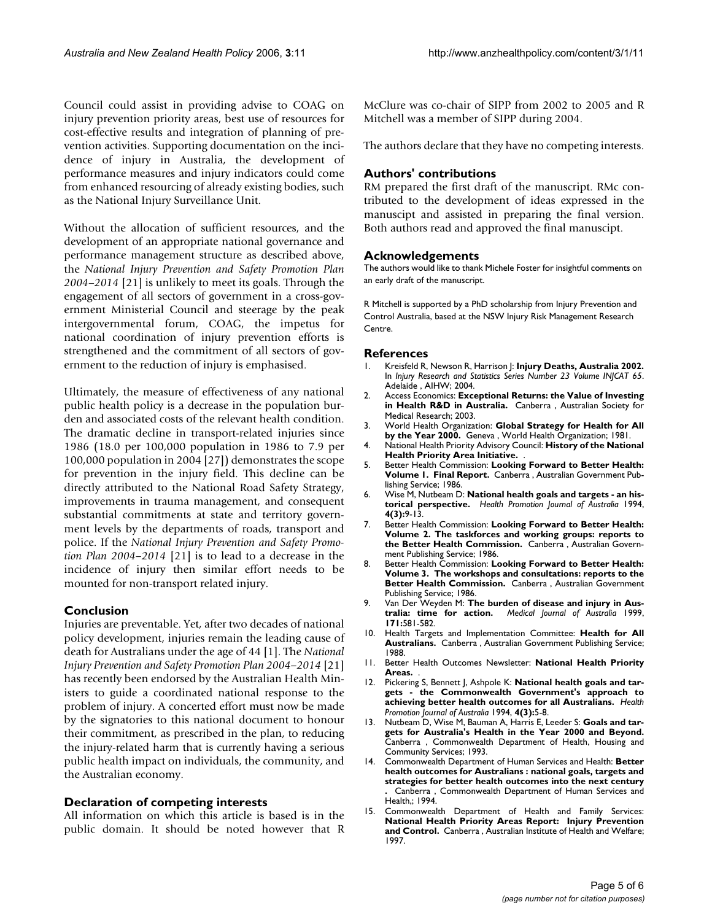Council could assist in providing advise to COAG on injury prevention priority areas, best use of resources for cost-effective results and integration of planning of prevention activities. Supporting documentation on the incidence of injury in Australia, the development of performance measures and injury indicators could come from enhanced resourcing of already existing bodies, such as the National Injury Surveillance Unit.

Without the allocation of sufficient resources, and the development of an appropriate national governance and performance management structure as described above, the *National Injury Prevention and Safety Promotion Plan 2004–2014* [21] is unlikely to meet its goals. Through the engagement of all sectors of government in a cross-government Ministerial Council and steerage by the peak intergovernmental forum, COAG, the impetus for national coordination of injury prevention efforts is strengthened and the commitment of all sectors of government to the reduction of injury is emphasised.

Ultimately, the measure of effectiveness of any national public health policy is a decrease in the population burden and associated costs of the relevant health condition. The dramatic decline in transport-related injuries since 1986 (18.0 per 100,000 population in 1986 to 7.9 per 100,000 population in 2004 [27]) demonstrates the scope for prevention in the injury field. This decline can be directly attributed to the National Road Safety Strategy, improvements in trauma management, and consequent substantial commitments at state and territory government levels by the departments of roads, transport and police. If the *National Injury Prevention and Safety Promotion Plan 2004–2014* [21] is to lead to a decrease in the incidence of injury then similar effort needs to be mounted for non-transport related injury.

### **Conclusion**

Injuries are preventable. Yet, after two decades of national policy development, injuries remain the leading cause of death for Australians under the age of 44 [1]. The *National Injury Prevention and Safety Promotion Plan 2004–2014* [21] has recently been endorsed by the Australian Health Ministers to guide a coordinated national response to the problem of injury. A concerted effort must now be made by the signatories to this national document to honour their commitment, as prescribed in the plan, to reducing the injury-related harm that is currently having a serious public health impact on individuals, the community, and the Australian economy.

### **Declaration of competing interests**

All information on which this article is based is in the public domain. It should be noted however that R McClure was co-chair of SIPP from 2002 to 2005 and R Mitchell was a member of SIPP during 2004.

The authors declare that they have no competing interests.

### **Authors' contributions**

RM prepared the first draft of the manuscript. RMc contributed to the development of ideas expressed in the manuscipt and assisted in preparing the final version. Both authors read and approved the final manuscipt.

### **Acknowledgements**

The authors would like to thank Michele Foster for insightful comments on an early draft of the manuscript.

R Mitchell is supported by a PhD scholarship from Injury Prevention and Control Australia, based at the NSW Injury Risk Management Research Centre.

#### **References**

- 1. Kreisfeld R, Newson R, Harrison J: **Injury Deaths, Australia 2002.** In *Injury Research and Statistics Series Number 23 Volume INJCAT 65*. Adelaide , AIHW; 2004.
- 2. Access Economics: **Exceptional Returns: the Value of Investing in Health R&D in Australia.** Canberra , Australian Society for Medical Research; 2003.
- 3. World Health Organization: **Global Strategy for Health for All by the Year 2000.** Geneva , World Health Organization; 1981.
- 4. National Health Priority Advisory Council: **History of the National Health Priority Area Initiative.** .
- 5. Better Health Commission: **Looking Forward to Better Health: Volume 1. Final Report.** Canberra , Australian Government Publishing Service; 1986.
- 6. Wise M, Nutbeam D: **National health goals and targets an historical perspective.** *Health Promotion Journal of Australia* 1994, **4(3):**9-13.
- 7. Better Health Commission: **Looking Forward to Better Health: Volume 2. The taskforces and working groups: reports to the Better Health Commission.** Canberra , Australian Government Publishing Service; 1986.
- 8. Better Health Commission: **Looking Forward to Better Health: Volume 3. The workshops and consultations: reports to the Better Health Commission.** Canberra , Australian Government Publishing Service; 1986.
- 9. Van Der Weyden M: **[The burden of disease and injury in Aus](http://www.ncbi.nlm.nih.gov/entrez/query.fcgi?cmd=Retrieve&db=PubMed&dopt=Abstract&list_uids=10721336)[tralia: time for action.](http://www.ncbi.nlm.nih.gov/entrez/query.fcgi?cmd=Retrieve&db=PubMed&dopt=Abstract&list_uids=10721336)** *Medical Journal of Australia* 1999, **171:**581-582.
- 10. Health Targets and Implementation Committee: **Health for All Australians.** Canberra , Australian Government Publishing Service; 1988.
- 11. Better Health Outcomes Newsletter: **National Health Priority Areas.** .
- 12. Pickering S, Bennett J, Ashpole K: **National health goals and targets - the Commonwealth Government's approach to achieving better health outcomes for all Australians.** *Health Promotion Journal of Australia* 1994, **4(3):**5-8.
- 13. Nutbeam D, Wise M, Bauman A, Harris E, Leeder S: **Goals and targets for Australia's Health in the Year 2000 and Beyond.** Canberra , Commonwealth Department of Health, Housing and Community Services; 1993.
- 14. Commonwealth Department of Human Services and Health: **Better health outcomes for Australians : national goals, targets and strategies for better health outcomes into the next century .** Canberra , Commonwealth Department of Human Services and Health,; 1994.
- 15. Commonwealth Department of Health and Family Services: **National Health Priority Areas Report: Injury Prevention** and Control. Canberra, Australian Institute of Health and Welfare; 1997.